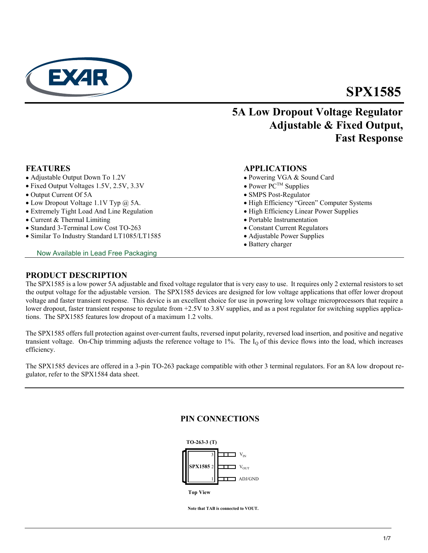

# **SPX1585**

# **5A Low Dropout Voltage Regulator Adjustable & Fixed Output, Fast Response**

- Adjustable Output Down To 1.2V Powering VGA & Sound Card
- Fixed Output Voltages 1.5V, 2.5V, 3.3V
- Output Current Of 5A SMPS Post-Regulator
- 
- Extremely Tight Load And Line Regulation High Efficiency Linear Power Supplies
- Current & Thermal Limiting **Portable Instrumentation** Portable Instrumentation
- Standard 3-Terminal Low Cost TO-263 Constant Current Regulators
- Similar To Industry Standard LT1085/LT1585 Adjustable Power Supplies

Now Available in Lead Free Packaging

### **FEATURES APPLICATIONS**

- 
- Power  $PC^{TM}$  Supplies
- 
- Low Dropout Voltage 1.1V Typ @ 5A. **•** High Efficiency "Green" Computer Systems
	-
	-
	-
	-
	- Battery charger

### **PRODUCT DESCRIPTION**

The SPX1585 is a low power 5A adjustable and fixed voltage regulator that is very easy to use. It requires only 2 external resistors to set the output voltage for the adjustable version. The SPX1585 devices are designed for low voltage applications that offer lower dropout voltage and faster transient response. This device is an excellent choice for use in powering low voltage microprocessors that require a lower dropout, faster transient response to regulate from +2.5V to 3.8V supplies, and as a post regulator for switching supplies applications. The SPX1585 features low dropout of a maximum 1.2 volts.

The SPX1585 offers full protection against over-current faults, reversed input polarity, reversed load insertion, and positive and negative transient voltage. On-Chip trimming adjusts the reference voltage to  $1\%$ . The  $I_0$  of this device flows into the load, which increases efficiency.

The SPX1585 devices are offered in a 3-pin TO-263 package compatible with other 3 terminal regulators. For an 8A low dropout regulator, refer to the SPX1584 data sheet.

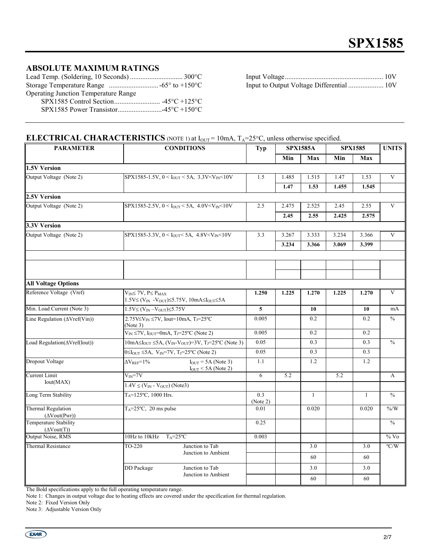## **ABSOLUTE MAXIMUM RATINGS**

| <b>Operating Junction Temperature Range</b> |  |
|---------------------------------------------|--|
|                                             |  |
|                                             |  |
|                                             |  |

Lead Temp. (Soldering, 10 Seconds) .............................. 300°C Input Voltage........................................................ 10V Input to Output Voltage Differential ...................... 10V

# **ELECTRICAL CHARACTERISTICS** (NOTE 1) at  $I_{OUT} = 10mA$ ,  $T_A = 25°C$ , unless otherwise specified.

| <b>PARAMETER</b>                                                                              |                                                                                                                                   | <b>CONDITIONS</b>                      | <b>Typ</b>      | <b>SPX1585A</b> |              | <b>SPX1585</b> |              | <b>UNITS</b>     |
|-----------------------------------------------------------------------------------------------|-----------------------------------------------------------------------------------------------------------------------------------|----------------------------------------|-----------------|-----------------|--------------|----------------|--------------|------------------|
|                                                                                               |                                                                                                                                   |                                        |                 | Min             | Max          | Min            | Max          |                  |
| 1.5V Version                                                                                  |                                                                                                                                   |                                        |                 |                 |              |                |              |                  |
| Output Voltage (Note 2)                                                                       | SPX1585-1.5V, $0 < I_{OUT} < 5A$ , 3.3V <v<sub>IN &lt; 10V</v<sub>                                                                |                                        | 1.5             | 1.485           | 1.515        | 1.47           | 1.53         | V                |
|                                                                                               |                                                                                                                                   |                                        |                 | 1.47            | 1.53         | 1.455          | 1.545        |                  |
| 2.5V Version                                                                                  |                                                                                                                                   |                                        |                 |                 |              |                |              |                  |
| Output Voltage (Note 2)                                                                       | SPX1585-2.5V, $0 < I_{OUT} < 5A$ , 4.0V < V <sub>IN</sub> < 10V                                                                   |                                        | 2.5             | 2.475           | 2.525        | 2.45           | 2.55         | $\mathbf{V}$     |
|                                                                                               |                                                                                                                                   |                                        |                 | 2.45            | 2.55         | 2.425          | 2.575        |                  |
| 3.3V Version                                                                                  |                                                                                                                                   |                                        |                 |                 |              |                |              |                  |
| Output Voltage (Note 2)<br>SPX1585-3.3V, $0 < I_{OUT} < 5A$ , 4.8V <v<sub>IN &lt; 10V</v<sub> | 3.3                                                                                                                               | 3.267                                  | 3.333           | 3.234           | 3.366        | V              |              |                  |
|                                                                                               |                                                                                                                                   |                                        |                 | 3.234           | 3.366        | 3.069          | 3.399        |                  |
|                                                                                               |                                                                                                                                   |                                        |                 |                 |              |                |              |                  |
|                                                                                               |                                                                                                                                   |                                        |                 |                 |              |                |              |                  |
|                                                                                               |                                                                                                                                   |                                        |                 |                 |              |                |              |                  |
| <b>All Voltage Options</b>                                                                    |                                                                                                                                   |                                        |                 |                 |              |                |              |                  |
| Reference Voltage (Vref)                                                                      | $V_{IN} \leq 7V$ , $P \leq P_{MAX}$<br>$1.5V \leq (V_{IN} - V_{OUT}) \leq 5.75V$ , $10mA \leq I_{OUT} \leq 5A$                    |                                        | 1.250           | 1.225           | 1.270        | 1.225          | 1.270        | $\mathbf{V}$     |
| Min. Load Current (Note 3)                                                                    | $1.5V \leq (V_{IN} - V_{OUT}) \leq 5.75V$                                                                                         |                                        | 5               |                 | 10           |                | 10           | mA               |
| Line Regulation ( $\Delta Vref(Vin)$ )                                                        | 2.75V $\leq$ V <sub>IN</sub> $\leq$ 7V, Iout=10mA, T <sub>J</sub> =25°C<br>(Note 3)                                               |                                        | 0.005           |                 | 0.2          |                | 0.2          | $\frac{0}{0}$    |
|                                                                                               | $V_{IN} \le 7V$ , $I_{OUT} = 0$ mA, $T_J = 25$ °C (Note 2)                                                                        |                                        | 0.005           |                 | 0.2          |                | 0.2          |                  |
| Load Regulation( $\Delta Vref(Iout)$ )                                                        | $10 \text{mA} \leq I_{\text{OUT}} \leq 5 \text{A}, (V_{\text{IN}}-V_{\text{OUT}})=3 \text{V}, T_{\text{J}}=25 \text{°C}$ (Note 3) |                                        | 0.05            |                 | 0.3          |                | 0.3          | $\frac{0}{0}$    |
|                                                                                               | $0 \leq I_{\text{OUT}} \leq 5A$ , $V_{\text{IN}} = 7V$ , T <sub>J</sub> =25°C (Note 2)                                            |                                        | 0.05            |                 | 0.3          |                | 0.3          |                  |
| <b>Dropout Voltage</b>                                                                        | $\Delta V_{REF}=1\%$<br>$I_{OUT} = 5A$ (Note 3)<br>$I_{OUT}$ < 5A (Note 2)                                                        |                                        | 1.1             |                 | 1.2          |                | 1.2          |                  |
| Current Limit                                                                                 | $V_{IN} = 7V$                                                                                                                     |                                        | 6               | 5.2             |              | 5.2            |              | А                |
| Iout(MAX)                                                                                     | $1.4V \leq (V_{IN} - V_{OUT})$ (Note3)                                                                                            |                                        |                 |                 |              |                |              |                  |
| Long Term Stability                                                                           | T <sub>A</sub> =125°C, 1000 Hrs.                                                                                                  |                                        | 0.3<br>(Note 2) |                 | $\mathbf{1}$ |                | $\mathbf{1}$ | $\frac{0}{0}$    |
| Thermal Regulation<br>$(\Delta Vout(Pwr))$                                                    | $T_A = 25$ °C, 20 ms pulse                                                                                                        |                                        | 0.01            |                 | 0.020        |                | 0.020        | $\frac{9}{6}$    |
| Temperature Stability<br>$(\Delta Vout(T))$                                                   |                                                                                                                                   |                                        | 0.25            |                 |              |                |              | $\frac{0}{0}$    |
| Output Noise, RMS                                                                             | 10Hz to 10kHz<br>$T_A = 25$ °C                                                                                                    |                                        | 0.003           |                 |              |                |              | $\frac{1}{2}$ Vo |
| <b>Thermal Resistance</b>                                                                     | Junction to Tab<br>TO-220<br>Junction to Ambient                                                                                  |                                        |                 |                 | 3.0          |                | 3.0          | $\rm ^{o}C/W$    |
|                                                                                               |                                                                                                                                   |                                        |                 |                 | 60           |                | 60           |                  |
|                                                                                               | <b>DD</b> Package                                                                                                                 | Junction to Tab<br>Junction to Ambient |                 |                 | 3.0          |                | 3.0          |                  |
|                                                                                               |                                                                                                                                   |                                        |                 |                 | 60           |                | 60           |                  |

The Bold specifications apply to the full operating temperature range.

Note 1: Changes in output voltage due to heating effects are covered under the specification for thermal regulation.

Note 2: Fixed Version Only

Note 3: Adjustable Version Only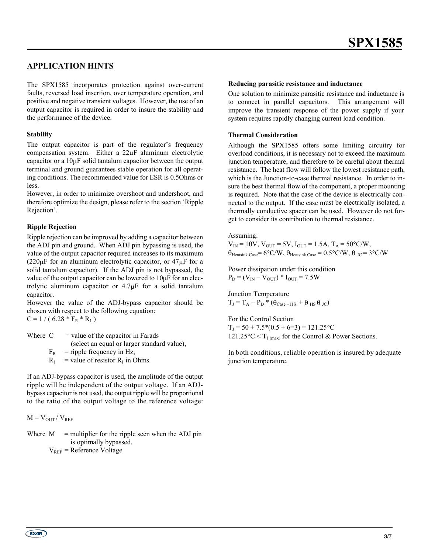# **APPLICATION HINTS**

The SPX1585 incorporates protection against over-current faults, reversed load insertion, over temperature operation, and positive and negative transient voltages. However, the use of an output capacitor is required in order to insure the stability and the performance of the device.

#### **Stability**

The output capacitor is part of the regulator's frequency compensation system. Either a 22µF aluminum electrolytic capacitor or a  $10\mu$ F solid tantalum capacitor between the output terminal and ground guarantees stable operation for all operating conditions. The recommended value for ESR is 0.5Ohms or less.

However, in order to minimize overshoot and undershoot, and therefore optimize the design, please refer to the section 'Ripple Rejection'.

#### **Ripple Rejection**

Ripple rejection can be improved by adding a capacitor between the ADJ pin and ground. When ADJ pin bypassing is used, the value of the output capacitor required increases to its maximum  $(220 \mu F)$  for an aluminum electrolytic capacitor, or  $47 \mu F$  for a solid tantalum capacitor). If the ADJ pin is not bypassed, the value of the output capacitor can be lowered to 10µF for an electrolytic aluminum capacitor or 4.7µF for a solid tantalum capacitor.

However the value of the ADJ-bypass capacitor should be chosen with respect to the following equation:  $C = 1 / (6.28 * F_R * R_1)$ 

Where  $C =$  value of the capacitor in Farads (select an equal or larger standard value),  $F_R$  = ripple frequency in Hz,  $R_1$  = value of resistor  $R_1$  in Ohms.

If an ADJ-bypass capacitor is used, the amplitude of the output ripple will be independent of the output voltage. If an ADJbypass capacitor is not used, the output ripple will be proportional to the ratio of the output voltage to the reference voltage:

 $M = V_{OUT} / V_{REF}$ 

Where  $M =$  multiplier for the ripple seen when the ADJ pin is optimally bypassed.  $V_{REF}$  = Reference Voltage

#### **Reducing parasitic resistance and inductance**

One solution to minimize parasitic resistance and inductance is to connect in parallel capacitors. This arrangement will improve the transient response of the power supply if your system requires rapidly changing current load condition.

#### **Thermal Consideration**

Although the SPX1585 offers some limiting circuitry for overload conditions, it is necessary not to exceed the maximum junction temperature, and therefore to be careful about thermal resistance. The heat flow will follow the lowest resistance path, which is the Junction-to-case thermal resistance. In order to insure the best thermal flow of the component, a proper mounting is required. Note that the case of the device is electrically connected to the output. If the case must be electrically isolated, a thermally conductive spacer can be used. However do not forget to consider its contribution to thermal resistance.

#### Assuming:

 $V_{IN} = 10V$ ,  $V_{OUT} = 5V$ ,  $I_{OUT} = 1.5A$ ,  $T_A = 50^{\circ}C/W$ ,  $\theta_{\text{Heatsink Case}}$ = 6°C/W,  $\theta_{\text{Heatsink Case}}$  = 0.5°C/W,  $\theta_{\text{JC}}$  = 3°C/W

Power dissipation under this condition  $P_D = (V_{IN} - V_{OUT}) * I_{OUT} = 7.5W$ 

Junction Temperature  $T_J = T_A + P_D$  \* ( $\theta_{Case-HS}$  +  $\theta_{HS}$   $\theta_{JC}$ )

For the Control Section  $T_1 = 50 + 7.5*(0.5 + 6=3) = 121.25$ °C 121.25°C <  $T_{J \text{(max)}}$  for the Control & Power Sections.

In both conditions, reliable operation is insured by adequate junction temperature.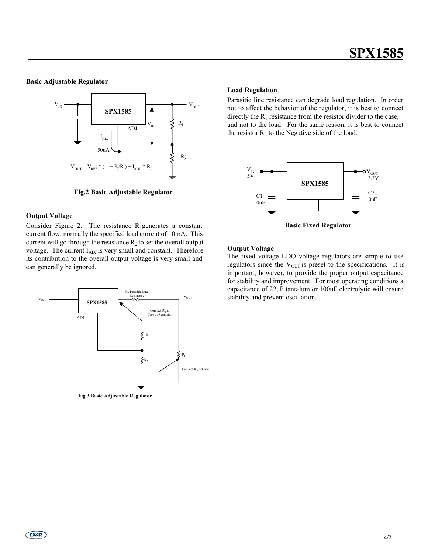#### **Basic Adjustable Regulator**



**Fig.2 Basic Adjustable Regulator**

#### **Output Voltage**

Consider Figure 2. The resistance  $R_1$ generates a constant current flow, normally the specified load current of 10mA. This current will go through the resistance  $R_2$  to set the overall output voltage. The current  $I_{ADJ}$  is very small and constant. Therefore its contribution to the overall output voltage is very small and can generally be ignored.



**Fig.3 Basic Adjustable Regulator**

#### **Load Regulation**

Parasitic line resistance can degrade load regulation. In order not to affect the behavior of the regulator, it is best to connect directly the  $R_1$  resistance from the resistor divider to the case, and not to the load. For the same reason, it is best to connect the resistor  $R_2$  to the Negative side of the load.



**Basic Fixed Regulator**

#### **Output Voltage**

The fixed voltage LDO voltage regulators are simple to use regulators since the  $V_{\text{OUT}}$  is preset to the specifications. It is important, however, to provide the proper output capacitance for stability and improvement. For most operating conditions a capacitance of 22uF tantalum or 100uF electrolytic will ensure stability and prevent oscillation.

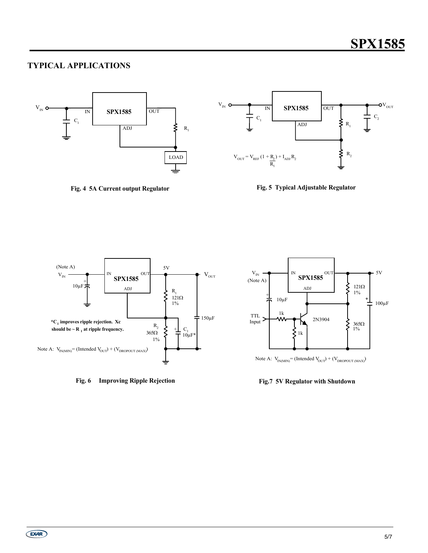# **TYPICAL APPLICATIONS**



**Fig. 4 5A Current output Regulator**





**Fig. 6 Improving Ripple Rejection**



Note A:  $V_{IN(MIN)} = (Intended V_{OUT}) + (V_{DROPOUT(MAX)})$ 

#### **Fig.7 5V Regulator with Shutdown**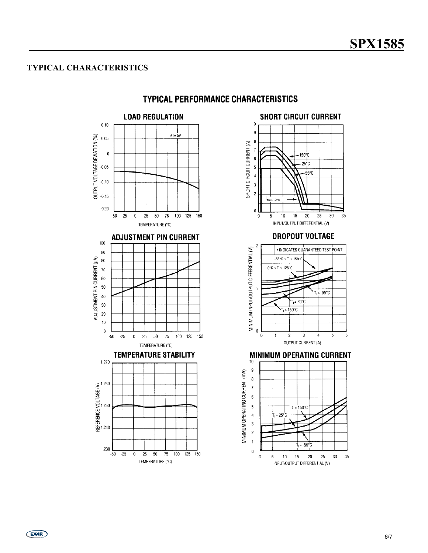## **TYPICAL CHARACTERISTICS**



# **TYPICAL PERFORMANCE CHARACTERISTICS**



 $(x)$